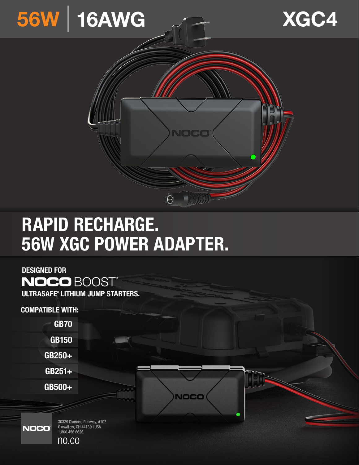





# RAPID RECHARGE. 56W XGC POWER ADAPTER.